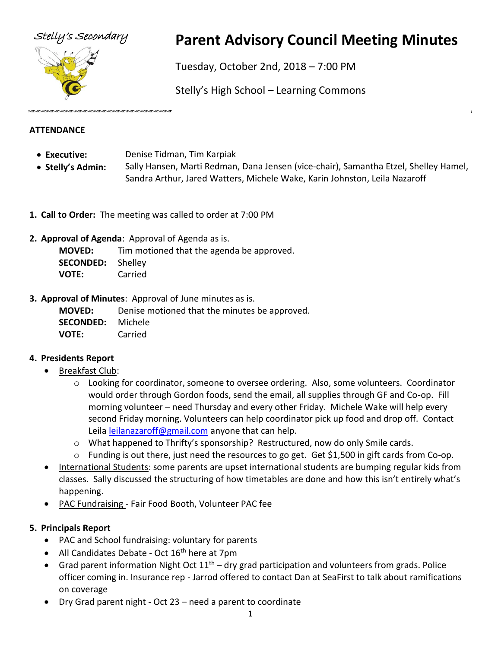

# Stelly's Secondary **Parent Advisory Council Meeting Minutes**

Tuesday, October 2nd, 2018 – 7:00 PM

Stelly's High School – Learning Commons

## **ATTENDANCE**

- **Executive:** Denise Tidman, Tim Karpiak
- **Stelly's Admin:** Sally Hansen, Marti Redman, Dana Jensen (vice-chair), Samantha Etzel, Shelley Hamel, Sandra Arthur, Jared Watters, Michele Wake, Karin Johnston, Leila Nazaroff
- **1. Call to Order:** The meeting was called to order at 7:00 PM
- **2. Approval of Agenda**: Approval of Agenda as is.

**MOVED:** Tim motioned that the agenda be approved. **SECONDED:** Shelley **VOTE:** Carried

**3. Approval of Minutes**: Approval of June minutes as is.

**MOVED:** Denise motioned that the minutes be approved. **SECONDED:** Michele **VOTE:** Carried

# **4. Presidents Report**

- Breakfast Club:
	- o Looking for coordinator, someone to oversee ordering. Also, some volunteers. Coordinator would order through Gordon foods, send the email, all supplies through GF and Co-op. Fill morning volunteer – need Thursday and every other Friday. Michele Wake will help every second Friday morning. Volunteers can help coordinator pick up food and drop off. Contact Leila [leilanazaroff@gmail.com](mailto:leilanazaroff@gmail.com) anyone that can help.
	- $\circ$  What happened to Thrifty's sponsorship? Restructured, now do only Smile cards.
	- o Funding is out there, just need the resources to go get. Get \$1,500 in gift cards from Co-op.
- International Students: some parents are upset international students are bumping regular kids from classes. Sally discussed the structuring of how timetables are done and how this isn't entirely what's happening.
- PAC Fundraising Fair Food Booth, Volunteer PAC fee

# **5. Principals Report**

- PAC and School fundraising: voluntary for parents
- All Candidates Debate Oct 16<sup>th</sup> here at 7pm
- Grad parent information Night Oct  $11<sup>th</sup>$  dry grad participation and volunteers from grads. Police officer coming in. Insurance rep - Jarrod offered to contact Dan at SeaFirst to talk about ramifications on coverage
- Dry Grad parent night Oct 23 need a parent to coordinate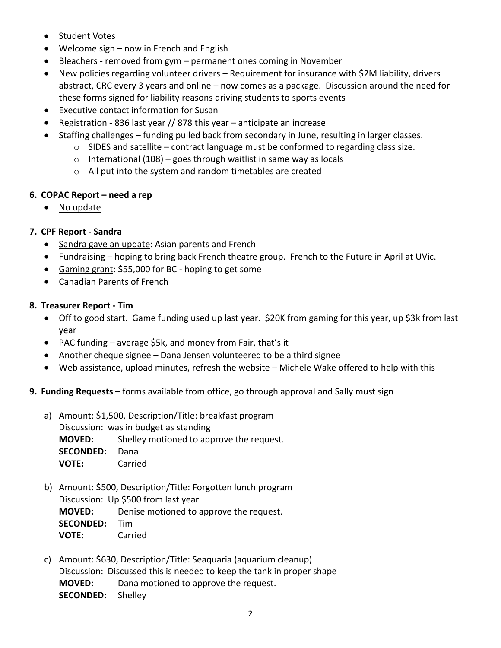- Student Votes
- Welcome sign now in French and English
- Bleachers removed from gym permanent ones coming in November
- New policies regarding volunteer drivers Requirement for insurance with \$2M liability, drivers abstract, CRC every 3 years and online – now comes as a package. Discussion around the need for these forms signed for liability reasons driving students to sports events
- Executive contact information for Susan
- Registration 836 last year // 878 this year anticipate an increase
- Staffing challenges funding pulled back from secondary in June, resulting in larger classes.
	- o SIDES and satellite contract language must be conformed to regarding class size.
	- $\circ$  International (108) goes through waitlist in same way as locals
	- o All put into the system and random timetables are created

#### **6. COPAC Report – need a rep**

• No update

### **7. CPF Report - Sandra**

- Sandra gave an update: Asian parents and French
- Fundraising hoping to bring back French theatre group. French to the Future in April at UVic.
- Gaming grant: \$55,000 for BC hoping to get some
- Canadian Parents of French

#### **8. Treasurer Report - Tim**

- Off to good start. Game funding used up last year. \$20K from gaming for this year, up \$3k from last year
- PAC funding average \$5k, and money from Fair, that's it
- Another cheque signee Dana Jensen volunteered to be a third signee
- Web assistance, upload minutes, refresh the website Michele Wake offered to help with this

#### **9. Funding Requests –** forms available from office, go through approval and Sally must sign

a) Amount: \$1,500, Description/Title: breakfast program

Discussion: was in budget as standing **MOVED:** Shelley motioned to approve the request. **SECONDED:** Dana **VOTE:** Carried

- b) Amount: \$500, Description/Title: Forgotten lunch program Discussion: Up \$500 from last year **MOVED:** Denise motioned to approve the request. **SECONDED:** Tim **VOTE:** Carried
- c) Amount: \$630, Description/Title: Seaquaria (aquarium cleanup) Discussion: Discussed this is needed to keep the tank in proper shape **MOVED:** Dana motioned to approve the request. **SECONDED:** Shelley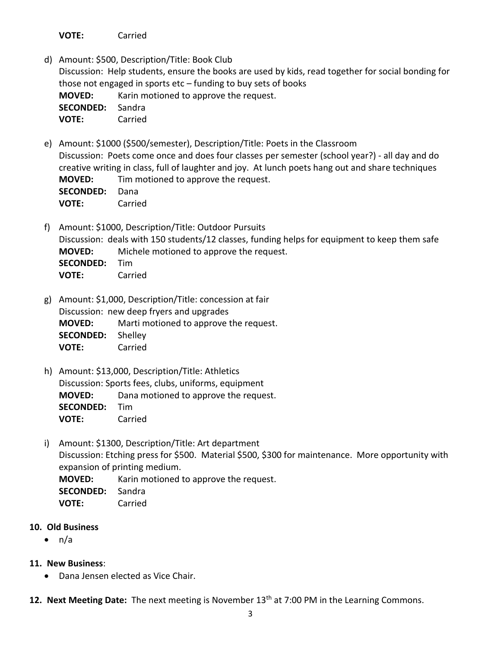**VOTE:** Carried

d) Amount: \$500, Description/Title: Book Club

Discussion: Help students, ensure the books are used by kids, read together for social bonding for those not engaged in sports  $etc$  – funding to buy sets of books

**MOVED:** Karin motioned to approve the request. **SECONDED:** Sandra **VOTE:** Carried

e) Amount: \$1000 (\$500/semester), Description/Title: Poets in the Classroom Discussion: Poets come once and does four classes per semester (school year?) - all day and do creative writing in class, full of laughter and joy. At lunch poets hang out and share techniques **MOVED:** Tim motioned to approve the request. **SECONDED:** Dana **VOTE:** Carried

f) Amount: \$1000, Description/Title: Outdoor Pursuits Discussion: deals with 150 students/12 classes, funding helps for equipment to keep them safe **MOVED:** Michele motioned to approve the request. **SECONDED:** Tim **VOTE:** Carried

- g) Amount: \$1,000, Description/Title: concession at fair Discussion: new deep fryers and upgrades **MOVED:** Marti motioned to approve the request. **SECONDED:** Shelley **VOTE:** Carried
- h) Amount: \$13,000, Description/Title: Athletics Discussion: Sports fees, clubs, uniforms, equipment **MOVED:** Dana motioned to approve the request. **SECONDED:** Tim **VOTE:** Carried
- i) Amount: \$1300, Description/Title: Art department Discussion: Etching press for \$500. Material \$500, \$300 for maintenance. More opportunity with expansion of printing medium.

**MOVED:** Karin motioned to approve the request.

- **SECONDED:** Sandra
- **VOTE:** Carried

#### **10. Old Business**

 $\bullet$  n/a

### **11. New Business**:

- Dana Jensen elected as Vice Chair.
- **12. Next Meeting Date:** The next meeting is November 13th at 7:00 PM in the Learning Commons.